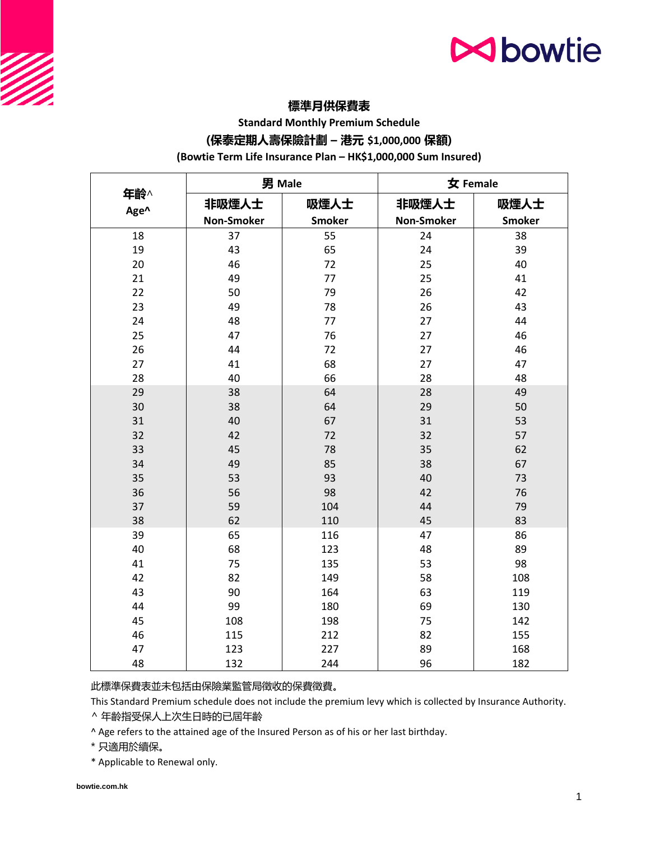

# **標準月供保費表**

**Standard Monthly Premium Schedule**

### **(保泰定期人壽保險計劃 – 港元 \$1,000,000 保額)**

#### **(Bowtie Term Life Insurance Plan – HK\$1,000,000 Sum Insured)**

|             | 男 Male            |               | 女 Female          |               |
|-------------|-------------------|---------------|-------------------|---------------|
| 年齡^<br>Age^ | 非吸煙人士             | 吸煙人士          | 非吸煙人士             | 吸煙人士          |
|             | <b>Non-Smoker</b> | <b>Smoker</b> | <b>Non-Smoker</b> | <b>Smoker</b> |
| 18          | 37                | 55            | 24                | 38            |
| 19          | 43                | 65            | 24                | 39            |
| 20          | 46                | 72            | 25                | 40            |
| 21          | 49                | 77            | 25                | 41            |
| 22          | 50                | 79            | 26                | 42            |
| 23          | 49                | 78            | 26                | 43            |
| 24          | 48                | 77            | 27                | 44            |
| 25          | 47                | 76            | 27                | 46            |
| 26          | 44                | 72            | 27                | 46            |
| 27          | 41                | 68            | 27                | 47            |
| 28          | 40                | 66            | 28                | 48            |
| 29          | 38                | 64            | 28                | 49            |
| 30          | 38                | 64            | 29                | 50            |
| 31          | 40                | 67            | 31                | 53            |
| 32          | 42                | 72            | 32                | 57            |
| 33          | 45                | 78            | 35                | 62            |
| 34          | 49                | 85            | 38                | 67            |
| 35          | 53                | 93            | 40                | 73            |
| 36          | 56                | 98            | 42                | 76            |
| 37          | 59                | 104           | 44                | 79            |
| 38          | 62                | 110           | 45                | 83            |
| 39          | 65                | 116           | 47                | 86            |
| 40          | 68                | 123           | 48                | 89            |
| 41          | 75                | 135           | 53                | 98            |
| 42          | 82                | 149           | 58                | 108           |
| 43          | 90                | 164           | 63                | 119           |
| 44          | 99                | 180           | 69                | 130           |
| 45          | 108               | 198           | 75                | 142           |
| 46          | 115               | 212           | 82                | 155           |
| 47          | 123               | 227           | 89                | 168           |
| 48          | 132               | 244           | 96                | 182           |

此標準保費表並未包括由保險業監管局徵收的保費徵費。

This Standard Premium schedule does not include the premium levy which is collected by Insurance Authority.

^ 年齡指受保人上次生日時的已屆年齡

^ Age refers to the attained age of the Insured Person as of his or her last birthday.

\* 只適用於續保。

\* Applicable to Renewal only.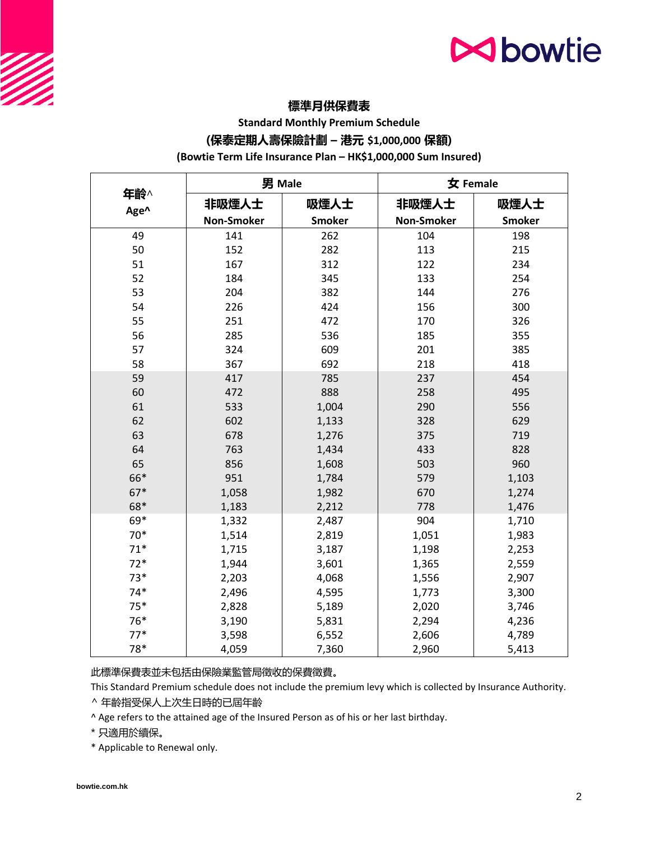



**Standard Monthly Premium Schedule**

### **(保泰定期人壽保險計劃 – 港元 \$1,000,000 保額)**

#### **(Bowtie Term Life Insurance Plan – HK\$1,000,000 Sum Insured)**

|             | 男 Male            |               | 女 Female          |               |
|-------------|-------------------|---------------|-------------------|---------------|
| 年齡^<br>Age^ | 非吸煙人士             | 吸煙人士          | 非吸煙人士             | 吸煙人士          |
|             | <b>Non-Smoker</b> | <b>Smoker</b> | <b>Non-Smoker</b> | <b>Smoker</b> |
| 49          | 141               | 262           | 104               | 198           |
| 50          | 152               | 282           | 113               | 215           |
| 51          | 167               | 312           | 122               | 234           |
| 52          | 184               | 345           | 133               | 254           |
| 53          | 204               | 382           | 144               | 276           |
| 54          | 226               | 424           | 156               | 300           |
| 55          | 251               | 472           | 170               | 326           |
| 56          | 285               | 536           | 185               | 355           |
| 57          | 324               | 609           | 201               | 385           |
| 58          | 367               | 692           | 218               | 418           |
| 59          | 417               | 785           | 237               | 454           |
| 60          | 472               | 888           | 258               | 495           |
| 61          | 533               | 1,004         | 290               | 556           |
| 62          | 602               | 1,133         | 328               | 629           |
| 63          | 678               | 1,276         | 375               | 719           |
| 64          | 763               | 1,434         | 433               | 828           |
| 65          | 856               | 1,608         | 503               | 960           |
| 66*         | 951               | 1,784         | 579               | 1,103         |
| $67*$       | 1,058             | 1,982         | 670               | 1,274         |
| 68*         | 1,183             | 2,212         | 778               | 1,476         |
| 69*         | 1,332             | 2,487         | 904               | 1,710         |
| $70*$       | 1,514             | 2,819         | 1,051             | 1,983         |
| $71*$       | 1,715             | 3,187         | 1,198             | 2,253         |
| $72*$       | 1,944             | 3,601         | 1,365             | 2,559         |
| $73*$       | 2,203             | 4,068         | 1,556             | 2,907         |
| $74*$       | 2,496             | 4,595         | 1,773             | 3,300         |
| $75*$       | 2,828             | 5,189         | 2,020             | 3,746         |
| 76*         | 3,190             | 5,831         | 2,294             | 4,236         |
| $77*$       | 3,598             | 6,552         | 2,606             | 4,789         |
| 78*         | 4,059             | 7,360         | 2,960             | 5,413         |

此標準保費表並未包括由保險業監管局徵收的保費徵費。

This Standard Premium schedule does not include the premium levy which is collected by Insurance Authority.

^ 年齡指受保人上次生日時的已屆年齡

^ Age refers to the attained age of the Insured Person as of his or her last birthday.

\* 只適用於續保。

\* Applicable to Renewal only.